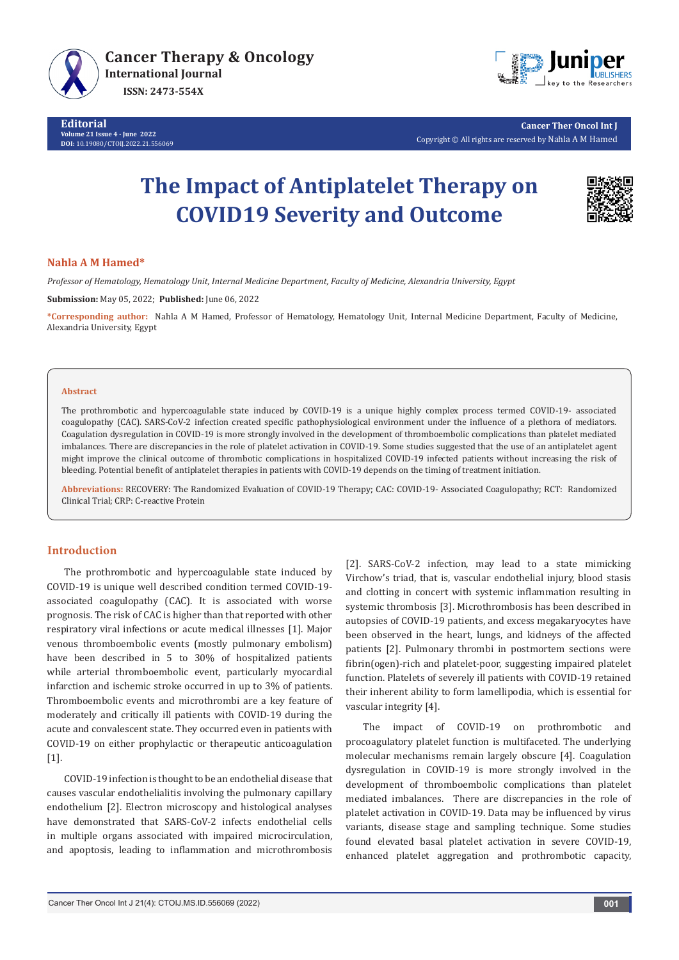



**Cancer Ther Oncol Int J** Copyright © All rights are reserved by Nahla A M Hamed

# **The Impact of Antiplatelet Therapy on COVID19 Severity and Outcome**



### **Nahla A M Hamed\***

*Professor of Hematology, Hematology Unit, Internal Medicine Department, Faculty of Medicine, Alexandria University, Egypt* **Submission:** May 05, 2022; **Published:** June 06, 2022

**\*Corresponding author:** Nahla A M Hamed, Professor of Hematology, Hematology Unit, Internal Medicine Department, Faculty of Medicine, Alexandria University, Egypt

#### **Abstract**

The prothrombotic and hypercoagulable state induced by COVID-19 is a unique highly complex process termed COVID-19- associated coagulopathy (CAC). SARS-CoV-2 infection created specific pathophysiological environment under the influence of a plethora of mediators. Coagulation dysregulation in COVID-19 is more strongly involved in the development of thromboembolic complications than platelet mediated imbalances. There are discrepancies in the role of platelet activation in COVID-19. Some studies suggested that the use of an antiplatelet agent might improve the clinical outcome of thrombotic complications in hospitalized COVID-19 infected patients without increasing the risk of bleeding. Potential benefit of antiplatelet therapies in patients with COVID-19 depends on the timing of treatment initiation.

**Abbreviations:** RECOVERY: The Randomized Evaluation of COVID-19 Therapy; CAC: COVID-19- Associated Coagulopathy; RCT: Randomized Clinical Trial; CRP: C-reactive Protein

### **Introduction**

The prothrombotic and hypercoagulable state induced by COVID-19 is unique well described condition termed COVID-19 associated coagulopathy (CAC). It is associated with worse prognosis. The risk of CAC is higher than that reported with other respiratory viral infections or acute medical illnesses [1]. Major venous thromboembolic events (mostly pulmonary embolism) have been described in 5 to 30% of hospitalized patients while arterial thromboembolic event, particularly myocardial infarction and ischemic stroke occurred in up to 3% of patients. Thromboembolic events and microthrombi are a key feature of moderately and critically ill patients with COVID-19 during the acute and convalescent state. They occurred even in patients with COVID-19 on either prophylactic or therapeutic anticoagulation [1].

COVID-19 infection is thought to be an endothelial disease that causes vascular endothelialitis involving the pulmonary capillary endothelium [2]. Electron microscopy and histological analyses have demonstrated that SARS-CoV-2 infects endothelial cells in multiple organs associated with impaired microcirculation, and apoptosis, leading to inflammation and microthrombosis

[2]. SARS-CoV-2 infection, may lead to a state mimicking Virchow's triad, that is, vascular endothelial injury, blood stasis and clotting in concert with systemic inflammation resulting in systemic thrombosis [3]. Microthrombosis has been described in autopsies of COVID-19 patients, and excess megakaryocytes have been observed in the heart, lungs, and kidneys of the affected patients [2]. Pulmonary thrombi in postmortem sections were fibrin(ogen)-rich and platelet-poor, suggesting impaired platelet function. Platelets of severely ill patients with COVID-19 retained their inherent ability to form lamellipodia, which is essential for vascular integrity [4].

The impact of COVID-19 on prothrombotic and procoagulatory platelet function is multifaceted. The underlying molecular mechanisms remain largely obscure [4]. Coagulation dysregulation in COVID-19 is more strongly involved in the development of thromboembolic complications than platelet mediated imbalances. There are discrepancies in the role of platelet activation in COVID-19. Data may be influenced by virus variants, disease stage and sampling technique. Some studies found elevated basal platelet activation in severe COVID-19, enhanced platelet aggregation and prothrombotic capacity,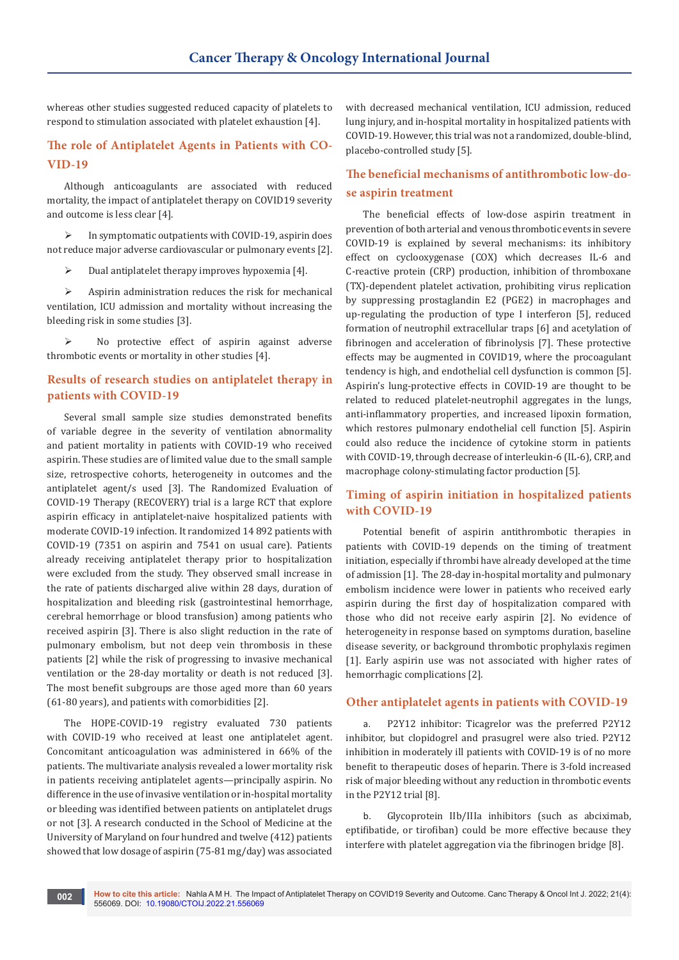whereas other studies suggested reduced capacity of platelets to respond to stimulation associated with platelet exhaustion [4].

# **The role of Antiplatelet Agents in Patients with CO-VID-19**

Although anticoagulants are associated with reduced mortality, the impact of antiplatelet therapy on COVID19 severity and outcome is less clear [4].

 $\triangleright$  In symptomatic outpatients with COVID-19, aspirin does not reduce major adverse cardiovascular or pulmonary events [2].

 $\triangleright$  Dual antiplatelet therapy improves hypoxemia [4].

 $\triangleright$  Aspirin administration reduces the risk for mechanical ventilation, ICU admission and mortality without increasing the bleeding risk in some studies [3].

 No protective effect of aspirin against adverse thrombotic events or mortality in other studies [4].

## **Results of research studies on antiplatelet therapy in patients with COVID-19**

Several small sample size studies demonstrated benefits of variable degree in the severity of ventilation abnormality and patient mortality in patients with COVID-19 who received aspirin. These studies are of limited value due to the small sample size, retrospective cohorts, heterogeneity in outcomes and the antiplatelet agent/s used [3]. The Randomized Evaluation of COVID-19 Therapy (RECOVERY) trial is a large RCT that explore aspirin efficacy in antiplatelet-naive hospitalized patients with moderate COVID-19 infection. It randomized 14 892 patients with COVID-19 (7351 on aspirin and 7541 on usual care). Patients already receiving antiplatelet therapy prior to hospitalization were excluded from the study. They observed small increase in the rate of patients discharged alive within 28 days, duration of hospitalization and bleeding risk (gastrointestinal hemorrhage, cerebral hemorrhage or blood transfusion) among patients who received aspirin [3]. There is also slight reduction in the rate of pulmonary embolism, but not deep vein thrombosis in these patients [2] while the risk of progressing to invasive mechanical ventilation or the 28-day mortality or death is not reduced [3]. The most benefit subgroups are those aged more than 60 years (61-80 years), and patients with comorbidities [2].

The HOPE-COVID-19 registry evaluated 730 patients with COVID-19 who received at least one antiplatelet agent. Concomitant anticoagulation was administered in 66% of the patients. The multivariate analysis revealed a lower mortality risk in patients receiving antiplatelet agents—principally aspirin. No difference in the use of invasive ventilation or in-hospital mortality or bleeding was identified between patients on antiplatelet drugs or not [3]. A research conducted in the School of Medicine at the University of Maryland on four hundred and twelve (412) patients showed that low dosage of aspirin (75-81 mg/day) was associated

with decreased mechanical ventilation, ICU admission, reduced lung injury, and in-hospital mortality in hospitalized patients with COVID-19. However, this trial was not a randomized, double-blind, placebo-controlled study [5].

# **The beneficial mechanisms of antithrombotic low-dose aspirin treatment**

The beneficial effects of low-dose aspirin treatment in prevention of both arterial and venous thrombotic events in severe COVID-19 is explained by several mechanisms: its inhibitory effect on cyclooxygenase (COX) which decreases IL-6 and C-reactive protein (CRP) production, inhibition of thromboxane (TX)-dependent platelet activation, prohibiting virus replication by suppressing prostaglandin E2 (PGE2) in macrophages and up-regulating the production of type I interferon [5], reduced formation of neutrophil extracellular traps [6] and acetylation of fibrinogen and acceleration of fibrinolysis [7]. These protective effects may be augmented in COVID19, where the procoagulant tendency is high, and endothelial cell dysfunction is common [5]. Aspirin's lung-protective effects in COVID-19 are thought to be related to reduced platelet-neutrophil aggregates in the lungs, anti-inflammatory properties, and increased lipoxin formation, which restores pulmonary endothelial cell function [5]. Aspirin could also reduce the incidence of cytokine storm in patients with COVID-19, through decrease of interleukin-6 (IL-6), CRP, and macrophage colony-stimulating factor production [5].

# **Timing of aspirin initiation in hospitalized patients with COVID-19**

Potential benefit of aspirin antithrombotic therapies in patients with COVID-19 depends on the timing of treatment initiation, especially if thrombi have already developed at the time of admission [1]. The 28-day in-hospital mortality and pulmonary embolism incidence were lower in patients who received early aspirin during the first day of hospitalization compared with those who did not receive early aspirin [2]. No evidence of heterogeneity in response based on symptoms duration, baseline disease severity, or background thrombotic prophylaxis regimen [1]. Early aspirin use was not associated with higher rates of hemorrhagic complications [2].

### **Other antiplatelet agents in patients with COVID-19**

a. P2Y12 inhibitor: Ticagrelor was the preferred P2Y12 inhibitor, but clopidogrel and prasugrel were also tried. P2Y12 inhibition in moderately ill patients with COVID-19 is of no more benefit to therapeutic doses of heparin. There is 3-fold increased risk of major bleeding without any reduction in thrombotic events in the P2Y12 trial [8].

b. Glycoprotein IIb/IIIa inhibitors (such as abciximab, eptifibatide, or tirofiban) could be more effective because they interfere with platelet aggregation via the fibrinogen bridge [8].